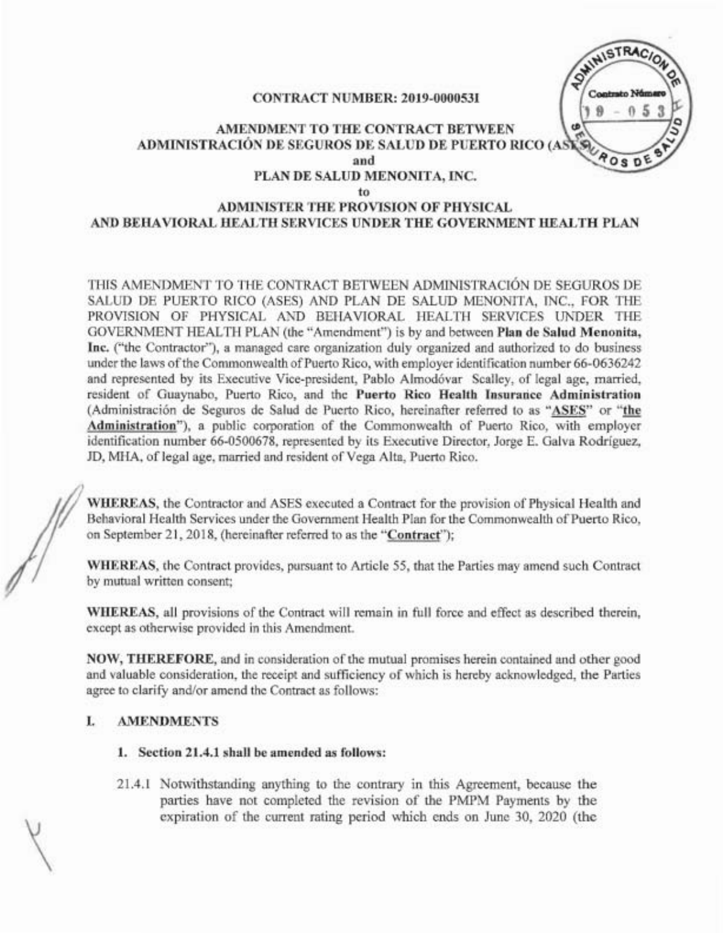SWINISTRACIO CONTRACT NUMBER: 2019-0000531  $0.5$  $\theta$ AMENDMENT TO THE CONTRACT BETWEEN ADMINISTRACION DE SEGUROS DE SALUD DE PUERTO RICO (A ۱G  $A$ OSD and PLAN DE SALUD MENONITA, INC. to

### ADMINISTER THE PROVISION OF PHYSICAL AND BEHAVIORAL HEALTH SERVICES UNDER THE GOVERNMENT HEALTH PLAN

THIS AMENDMENT TO THE CONTRACT BETWEEN ADMINISTRACION DE SEGUROS DE SALVD DE PUERTO RICO (ASES) AND PLAN DE SALUD MENONITA, INC., FOR THE PROVISION OF PHYSICAL AND BEHAVIORAL HEALTH SERVICES UNDER THE GOVERNMENT HEALTH PLAN (the "Amendment") is by and between Plan de Salud Menonita, Inc. ("the Contractor"), a managed care organization duly organized and authorized to do business under the laws of the Commonwealth of Puerto Rico, with employer identification number 66-0636242 and represented by its Executive Vice-president, Pablo Almodóvar Scalley, of legal age, married, resident of Guaynabo, Puerto Rico, and the Puerto Rico Health Insurarice Administration (Administración de Seguros de Salud de Puerto Rico, hereinafter referred to as "ASES" or "the Administration"), a public corporation of the Commonwealth of Puerto Rico, with employer identification number 66-0500678, represented by its Executive Director, Jorge E. Galva Rodriguez, JD, MHA, of legal age, married and resident of Vega Alta, Puerto Rico.

WHEREAS, the Contractor and ASES executed a Contract for the provision of Physical Health and Behavioral Health Services under the Government Health Plan for the Commonwealth of Puerto Rico, on September 21, 2018, (hereinafter referred to as the "Contract");

WHEREAS, the Contract provides, pursuant to Article 55, that the Parties may amend such Contract by mutual written consent;

WHEREAS, all provisions of the Contract will remain in full force and effect as described therein, except as otherwise provided in this Amendment.

NOW, THEREFORE, and in consideration of the mutual promises herein contained and other good and valuable consideration, the receipt and sufficiency of which is hereby acknowledged, the Parties agree to clarify and/or amend the Contract as follows:

# I. AMENDMENTS

- 1. Section 21.4.1 shall be amended as follows:
- 21.4.1 Notwithstanding anything to the contrary in this Agreement, because the parties have not completed the revision of the PMPM Payments by the expiration of the current rating period which ends on June 30, 2020 (the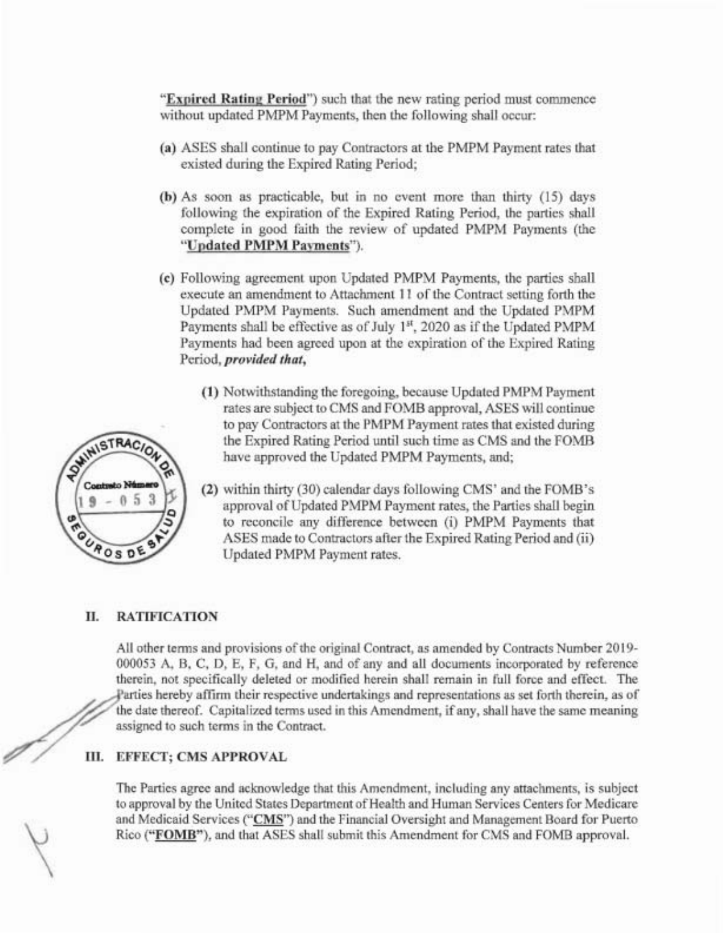"Expired Rating Period") such that the new rating period must commence without updated PMPM Payments, then the following shall occur:

- (a) ASES shall continue to pay Contractors at the PMPM Payment rates that existed during the Expired Rating Period;
- (b) As soon as practicable, but in no event more than thirty (15) days following the expiration of the Expired Rating Period, the parties shall complete in good faith the review of updated PMPM Payments (the "Updated PMPM PaYments").
- (c) Following agreement upon Updated PMPM Payments, the parties shall execute an amendment to Attachment 11 of the Contract setting forth the Updated PMPM Payments. Such amendment and the Updated PMPM Payments shall be effective as of July 1st, 2020 as if the Updated PMPM Payments had been agreed upon at the expiration of the Expired Rating Period, *provided that,*
	- (1) Notwithstanding the foregoing, because Updated PMPM Payment rates are subject to CMS and FOMB approval, ASES will continue to pay Contractors at the PMPM Payment rates that existed during the Expired Rating Period until such time as CMS and the FOMB have approved the Updated PMPM Payments, and;
	- (2) within thirty (30) calendar days following CMS' and the FOMB's approval of Updated PMPM Payment rates, the Parties shall begin to reconcile any difference between (i) PMPM Payments that ASES made to Contractors after the Expired Rating Period and (ii) Updated PMPM Payment rates.

# II. RATIFICATION

All other terms and provisions of the original Contract, as amended by Contracts Number 2019-000053 A, B, C, D, E, F, G, and H, and of any and all documents incorporated by reference therein, not specifically deleted or modified herein shall remain in full force and effect. The arties hereby affirm their respective undertakings and representations as set forth therein, as of the date thereof. Capitalized terms used in this Amendment, if any, shall have the same meaning assigned to such terms in the Contract.

### III. EFFECT; CMS APPROVAL

The Parties agree and acknowledge that this Amendment, including any attachments, is subject to approval by the United States Department of Health and Human Services Centers for Medicare and Medicaid Services ("CMS") and the Financial Oversight and Management Board for Puerto Rico ("FOMB"), and that ASES shall submit this Amendment for CMS and FOMB approval.